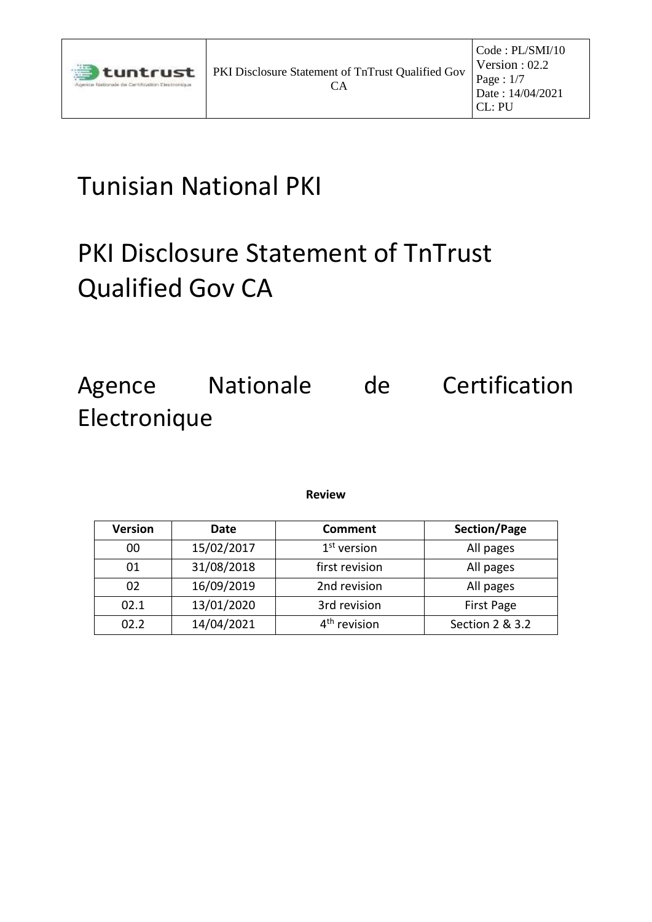

# Tunisian National PKI

# PKI Disclosure Statement of TnTrust Qualified Gov CA

## Agence Nationale de Certification Electronique

| <b>Version</b> | Date       | Comment        | Section/Page      |
|----------------|------------|----------------|-------------------|
| 00             | 15/02/2017 | $1st$ version  | All pages         |
| 01             | 31/08/2018 | first revision | All pages         |
| 02             | 16/09/2019 | 2nd revision   | All pages         |
| 02.1           | 13/01/2020 | 3rd revision   | <b>First Page</b> |
| 02.2           | 14/04/2021 | revision       | Section 2 & 3.2   |

#### **Review**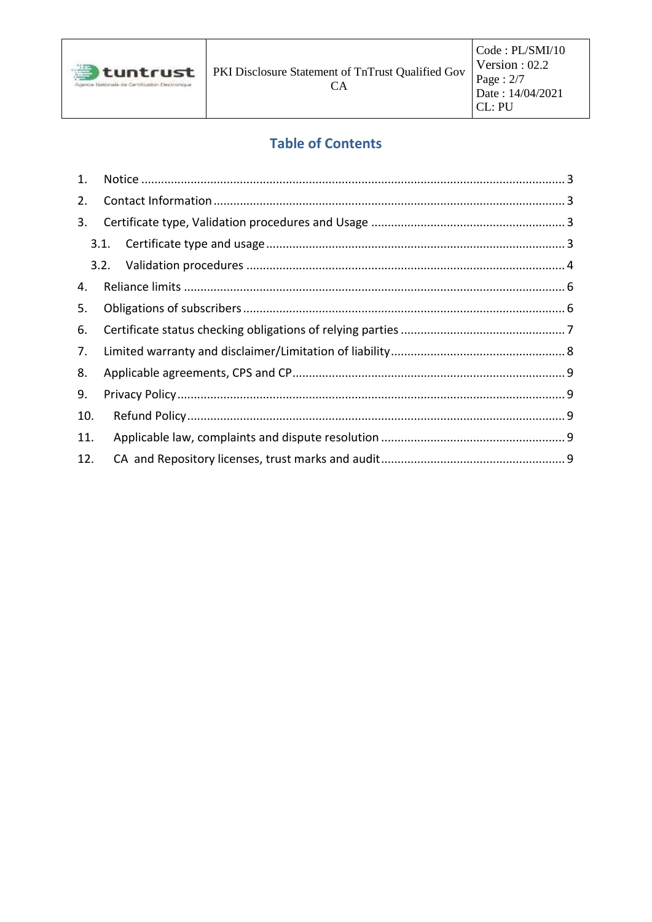

## **Table of Contents**

| 1.  |      |  |
|-----|------|--|
| 2.  |      |  |
| 3.  |      |  |
|     | 3.1. |  |
|     |      |  |
| 4.  |      |  |
| 5.  |      |  |
| 6.  |      |  |
| 7.  |      |  |
| 8.  |      |  |
| 9.  |      |  |
| 10. |      |  |
| 11. |      |  |
| 12. |      |  |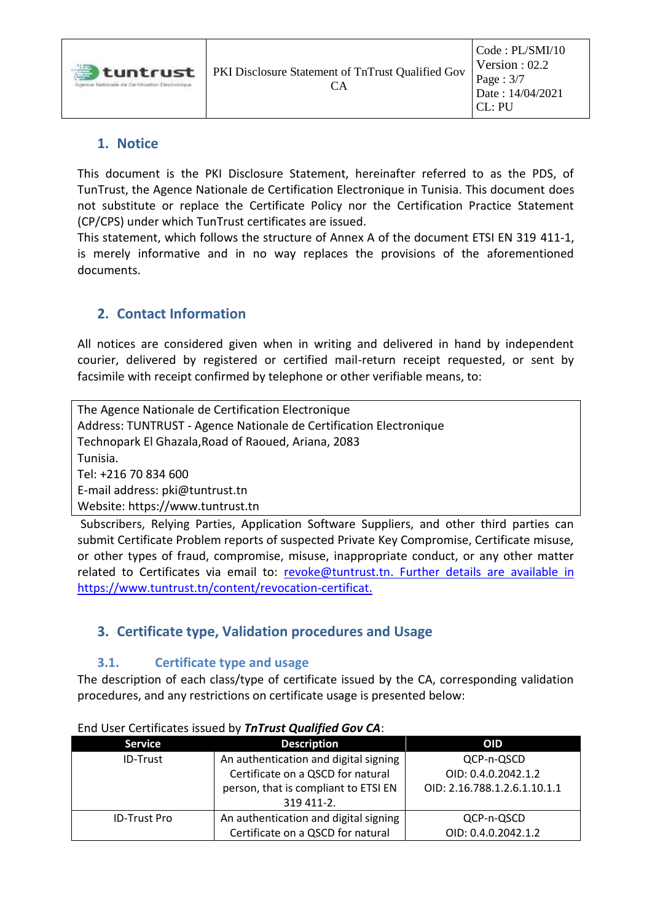| <b>tuntrust</b><br>dettranale die Certification Electronicum | PKI Disclosure Statement of TnTrust Qualified Gov | Code : PL/SMI/10<br>Version : $02.2$<br>Page : $3/7$<br>Date: 14/04/2021<br>CI: PI |
|--------------------------------------------------------------|---------------------------------------------------|------------------------------------------------------------------------------------|
|--------------------------------------------------------------|---------------------------------------------------|------------------------------------------------------------------------------------|

### <span id="page-2-0"></span>**1. Notice**

This document is the PKI Disclosure Statement, hereinafter referred to as the PDS, of TunTrust, the Agence Nationale de Certification Electronique in Tunisia. This document does not substitute or replace the Certificate Policy nor the Certification Practice Statement (CP/CPS) under which TunTrust certificates are issued.

This statement, which follows the structure of Annex A of the document ETSI EN 319 411-1, is merely informative and in no way replaces the provisions of the aforementioned documents.

## <span id="page-2-1"></span>**2. Contact Information**

All notices are considered given when in writing and delivered in hand by independent courier, delivered by registered or certified mail-return receipt requested, or sent by facsimile with receipt confirmed by telephone or other verifiable means, to:

The Agence Nationale de Certification Electronique Address: TUNTRUST - Agence Nationale de Certification Electronique Technopark El Ghazala,Road of Raoued, Ariana, 2083 Tunisia. Tel: +216 70 834 600 E-mail address: pki@tuntrust.tn Website: https:/[/www.tuntrust.tn](http://www.tuntrust.tn/)

Subscribers, Relying Parties, Application Software Suppliers, and other third parties can submit Certificate Problem reports of suspected Private Key Compromise, Certificate misuse, or other types of fraud, compromise, misuse, inappropriate conduct, or any other matter related to Certificates via email to: revoke@tuntrust.tn. Further details are available in https://www.tuntrust.tn/content/revocation-certificat.

## <span id="page-2-2"></span>**3. Certificate type, Validation procedures and Usage**

#### **3.1. Certificate type and usage**

<span id="page-2-3"></span>The description of each class/type of certificate issued by the CA, corresponding validation procedures, and any restrictions on certificate usage is presented below:

| <b>Service</b>      | <b>Description</b>                    | <b>OID</b>                   |
|---------------------|---------------------------------------|------------------------------|
| <b>ID-Trust</b>     | An authentication and digital signing | QCP-n-QSCD                   |
|                     | Certificate on a QSCD for natural     | OID: 0.4.0.2042.1.2          |
|                     | person, that is compliant to ETSI EN  | OID: 2.16.788.1.2.6.1.10.1.1 |
|                     | 319 411-2.                            |                              |
| <b>ID-Trust Pro</b> | An authentication and digital signing | QCP-n-QSCD                   |
|                     | Certificate on a QSCD for natural     | OID: 0.4.0.2042.1.2          |

End User Certificates issued by *TnTrust Qualified Gov CA*: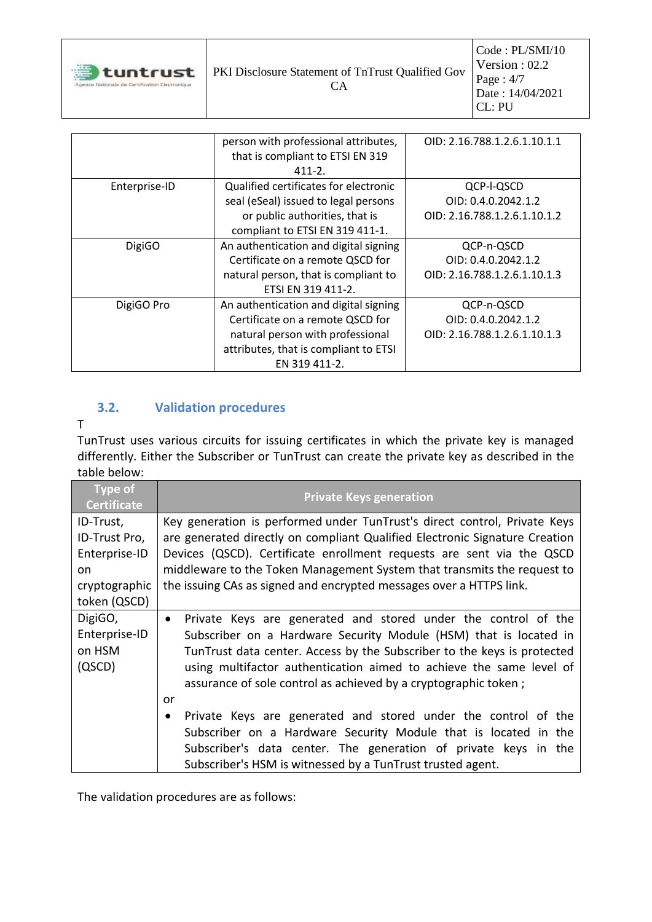| <b>J</b> tuntrust<br>Intigorale die Certification Electromisce | <b>PKI Disclosure Statement of TnTrust Qualified Gov</b><br>€∆ | Code : PL/SMI/10<br>Version : $02.2$<br>Page: $4/7$<br>Date: 14/04/2021<br>$CI \cdot PI$ |
|----------------------------------------------------------------|----------------------------------------------------------------|------------------------------------------------------------------------------------------|
|----------------------------------------------------------------|----------------------------------------------------------------|------------------------------------------------------------------------------------------|

|               | person with professional attributes,  | OID: 2.16.788.1.2.6.1.10.1.1 |
|---------------|---------------------------------------|------------------------------|
|               | that is compliant to ETSI EN 319      |                              |
|               | $411 - 2$ .                           |                              |
| Enterprise-ID | Qualified certificates for electronic | QCP-I-QSCD                   |
|               | seal (eSeal) issued to legal persons  | OID: 0.4.0.2042.1.2          |
|               | or public authorities, that is        | OID: 2.16.788.1.2.6.1.10.1.2 |
|               | compliant to ETSI EN 319 411-1.       |                              |
| <b>DigiGO</b> | An authentication and digital signing | QCP-n-QSCD                   |
|               | Certificate on a remote QSCD for      | OID: 0.4.0.2042.1.2          |
|               | natural person, that is compliant to  | OID: 2.16.788.1.2.6.1.10.1.3 |
|               | ETSI EN 319 411-2.                    |                              |
| DigiGO Pro    | An authentication and digital signing | QCP-n-QSCD                   |
|               | Certificate on a remote QSCD for      | OID: 0.4.0.2042.1.2          |
|               | natural person with professional      | OID: 2.16.788.1.2.6.1.10.1.3 |
|               | attributes, that is compliant to ETSI |                              |
|               | EN 319 411-2.                         |                              |

## <span id="page-3-0"></span>**3.2. Validation procedures**

#### T

TunTrust uses various circuits for issuing certificates in which the private key is managed differently. Either the Subscriber or TunTrust can create the private key as described in the table below:

| <b>Type of</b><br><b>Certificate</b>                                               | <b>Private Keys generation</b>                                                                                                                                                                                                                                                                                                                                                                                                                             |
|------------------------------------------------------------------------------------|------------------------------------------------------------------------------------------------------------------------------------------------------------------------------------------------------------------------------------------------------------------------------------------------------------------------------------------------------------------------------------------------------------------------------------------------------------|
| ID-Trust,<br>ID-Trust Pro,<br>Enterprise-ID<br>on<br>cryptographic<br>token (QSCD) | Key generation is performed under TunTrust's direct control, Private Keys<br>are generated directly on compliant Qualified Electronic Signature Creation<br>Devices (QSCD). Certificate enrollment requests are sent via the QSCD<br>middleware to the Token Management System that transmits the request to<br>the issuing CAs as signed and encrypted messages over a HTTPS link.                                                                        |
| DigiGO,<br>Enterprise-ID<br>on HSM<br>(QSCD)                                       | Private Keys are generated and stored under the control of the<br>$\bullet$<br>Subscriber on a Hardware Security Module (HSM) that is located in<br>TunTrust data center. Access by the Subscriber to the keys is protected<br>using multifactor authentication aimed to achieve the same level of<br>assurance of sole control as achieved by a cryptographic token;<br>or<br>Private Keys are generated and stored under the control of the<br>$\bullet$ |
|                                                                                    | Subscriber on a Hardware Security Module that is located in the<br>Subscriber's data center. The generation of private keys in the<br>Subscriber's HSM is witnessed by a TunTrust trusted agent.                                                                                                                                                                                                                                                           |

The validation procedures are as follows: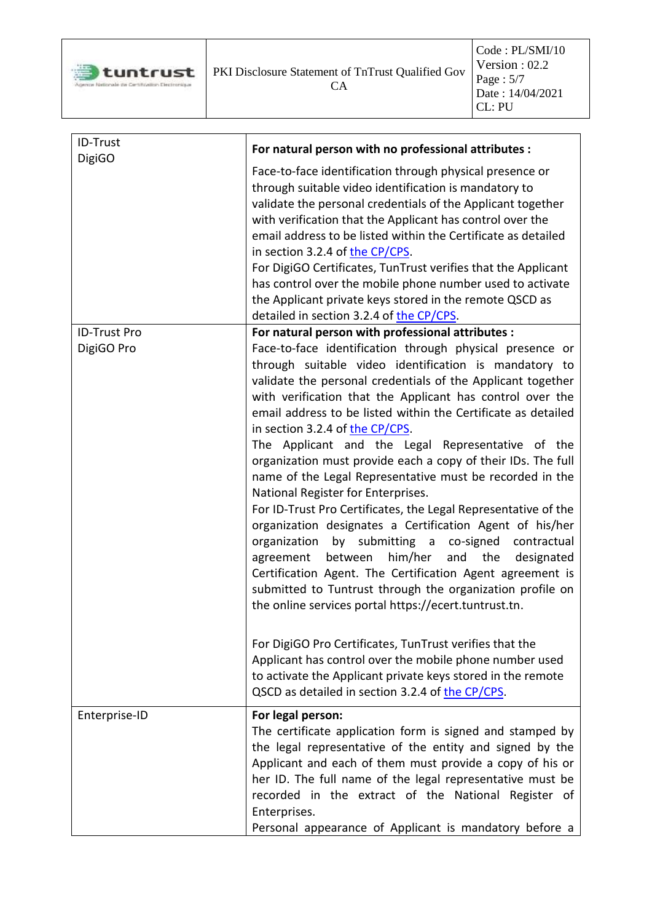

| ID-Trust<br><b>DigiGO</b> | For natural person with no professional attributes :                                                                                                                                                                                                                                                                                                                                                                                                                                                                                                                                                                                                                                                                                                                                                                                                                                                                                                                                                              |  |
|---------------------------|-------------------------------------------------------------------------------------------------------------------------------------------------------------------------------------------------------------------------------------------------------------------------------------------------------------------------------------------------------------------------------------------------------------------------------------------------------------------------------------------------------------------------------------------------------------------------------------------------------------------------------------------------------------------------------------------------------------------------------------------------------------------------------------------------------------------------------------------------------------------------------------------------------------------------------------------------------------------------------------------------------------------|--|
|                           | Face-to-face identification through physical presence or<br>through suitable video identification is mandatory to<br>validate the personal credentials of the Applicant together<br>with verification that the Applicant has control over the<br>email address to be listed within the Certificate as detailed<br>in section 3.2.4 of the CP/CPS.<br>For DigiGO Certificates, TunTrust verifies that the Applicant<br>has control over the mobile phone number used to activate<br>the Applicant private keys stored in the remote QSCD as<br>detailed in section 3.2.4 of the CP/CPS.                                                                                                                                                                                                                                                                                                                                                                                                                            |  |
| <b>ID-Trust Pro</b>       | For natural person with professional attributes :                                                                                                                                                                                                                                                                                                                                                                                                                                                                                                                                                                                                                                                                                                                                                                                                                                                                                                                                                                 |  |
| DigiGO Pro                | Face-to-face identification through physical presence or<br>through suitable video identification is mandatory to<br>validate the personal credentials of the Applicant together<br>with verification that the Applicant has control over the<br>email address to be listed within the Certificate as detailed<br>in section 3.2.4 of the CP/CPS.<br>The Applicant and the Legal Representative of the<br>organization must provide each a copy of their IDs. The full<br>name of the Legal Representative must be recorded in the<br>National Register for Enterprises.<br>For ID-Trust Pro Certificates, the Legal Representative of the<br>organization designates a Certification Agent of his/her<br>by submitting a co-signed<br>organization<br>contractual<br>him/her<br>between<br>and the<br>agreement<br>designated<br>Certification Agent. The Certification Agent agreement is<br>submitted to Tuntrust through the organization profile on<br>the online services portal https://ecert.tuntrust.tn. |  |
|                           | For DigiGO Pro Certificates, TunTrust verifies that the<br>Applicant has control over the mobile phone number used<br>to activate the Applicant private keys stored in the remote<br>QSCD as detailed in section 3.2.4 of the CP/CPS.                                                                                                                                                                                                                                                                                                                                                                                                                                                                                                                                                                                                                                                                                                                                                                             |  |
| Enterprise-ID             | For legal person:<br>The certificate application form is signed and stamped by<br>the legal representative of the entity and signed by the<br>Applicant and each of them must provide a copy of his or<br>her ID. The full name of the legal representative must be<br>recorded in the extract of the National Register of<br>Enterprises.<br>Personal appearance of Applicant is mandatory before a                                                                                                                                                                                                                                                                                                                                                                                                                                                                                                                                                                                                              |  |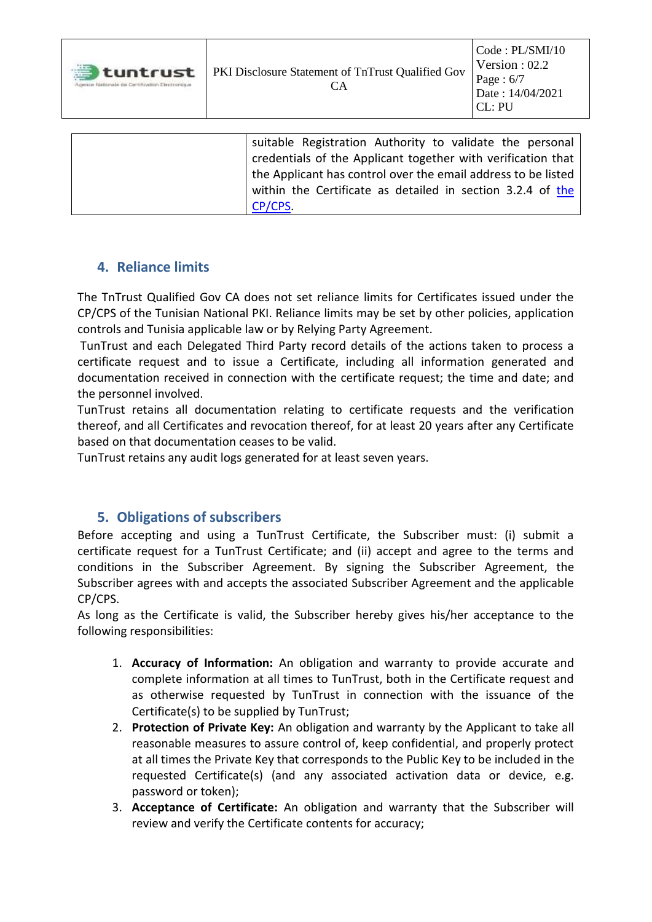| 遭<br>tuntrust<br>Agence Nationale da Certification Electronique | PKI Disclosure Statement of TnTrust Qualified Gov<br>CА  | $\vert$ Code : PL/SMI/10<br>Version : $02.2$<br>Page: $6/7$<br>Date: 14/04/2021<br>$ {\rm CI}: {\rm PU}$ |
|-----------------------------------------------------------------|----------------------------------------------------------|----------------------------------------------------------------------------------------------------------|
|                                                                 |                                                          |                                                                                                          |
|                                                                 | suitable Registration Authority to validate the nersonal |                                                                                                          |

suitable Registration Authority to validate the personal credentials of the Applicant together with verification that the Applicant has control over the email address to be listed within [the](https://www.tuntrust.tn/sites/default/files/Ressources/CPCPS-TunisianNationalPKI.pdf) Certificate as detailed in section 3.2.4 of the [CP/CPS.](https://www.tuntrust.tn/sites/default/files/Ressources/CPCPS-TunisianNationalPKI.pdf)

## <span id="page-5-0"></span>**4. Reliance limits**

The TnTrust Qualified Gov CA does not set reliance limits for Certificates issued under the CP/CPS of the Tunisian National PKI. Reliance limits may be set by other policies, application controls and Tunisia applicable law or by Relying Party Agreement.

TunTrust and each Delegated Third Party record details of the actions taken to process a certificate request and to issue a Certificate, including all information generated and documentation received in connection with the certificate request; the time and date; and the personnel involved.

TunTrust retains all documentation relating to certificate requests and the verification thereof, and all Certificates and revocation thereof, for at least 20 years after any Certificate based on that documentation ceases to be valid.

<span id="page-5-1"></span>TunTrust retains any audit logs generated for at least seven years.

## **5. Obligations of subscribers**

Before accepting and using a TunTrust Certificate, the Subscriber must: (i) submit a certificate request for a TunTrust Certificate; and (ii) accept and agree to the terms and conditions in the Subscriber Agreement. By signing the Subscriber Agreement, the Subscriber agrees with and accepts the associated Subscriber Agreement and the applicable CP/CPS.

As long as the Certificate is valid, the Subscriber hereby gives his/her acceptance to the following responsibilities:

- 1. **Accuracy of Information:** An obligation and warranty to provide accurate and complete information at all times to TunTrust, both in the Certificate request and as otherwise requested by TunTrust in connection with the issuance of the Certificate(s) to be supplied by TunTrust;
- 2. **Protection of Private Key:** An obligation and warranty by the Applicant to take all reasonable measures to assure control of, keep confidential, and properly protect at all times the Private Key that corresponds to the Public Key to be included in the requested Certificate(s) (and any associated activation data or device, e.g. password or token);
- 3. **Acceptance of Certificate:** An obligation and warranty that the Subscriber will review and verify the Certificate contents for accuracy;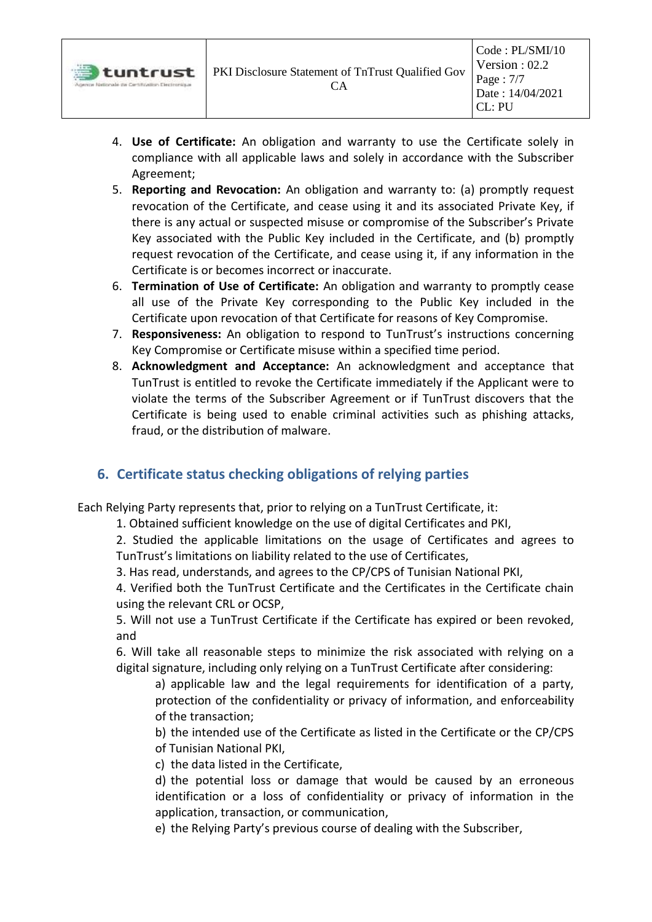- 4. **Use of Certificate:** An obligation and warranty to use the Certificate solely in compliance with all applicable laws and solely in accordance with the Subscriber Agreement;
- 5. **Reporting and Revocation:** An obligation and warranty to: (a) promptly request revocation of the Certificate, and cease using it and its associated Private Key, if there is any actual or suspected misuse or compromise of the Subscriber's Private Key associated with the Public Key included in the Certificate, and (b) promptly request revocation of the Certificate, and cease using it, if any information in the Certificate is or becomes incorrect or inaccurate.
- 6. **Termination of Use of Certificate:** An obligation and warranty to promptly cease all use of the Private Key corresponding to the Public Key included in the Certificate upon revocation of that Certificate for reasons of Key Compromise.
- 7. **Responsiveness:** An obligation to respond to TunTrust's instructions concerning Key Compromise or Certificate misuse within a specified time period.
- 8. **Acknowledgment and Acceptance:** An acknowledgment and acceptance that TunTrust is entitled to revoke the Certificate immediately if the Applicant were to violate the terms of the Subscriber Agreement or if TunTrust discovers that the Certificate is being used to enable criminal activities such as phishing attacks, fraud, or the distribution of malware.

## <span id="page-6-0"></span>**6. Certificate status checking obligations of relying parties**

Each Relying Party represents that, prior to relying on a TunTrust Certificate, it:

1. Obtained sufficient knowledge on the use of digital Certificates and PKI,

2. Studied the applicable limitations on the usage of Certificates and agrees to TunTrust's limitations on liability related to the use of Certificates,

3. Has read, understands, and agrees to the CP/CPS of Tunisian National PKI,

4. Verified both the TunTrust Certificate and the Certificates in the Certificate chain using the relevant CRL or OCSP,

5. Will not use a TunTrust Certificate if the Certificate has expired or been revoked, and

6. Will take all reasonable steps to minimize the risk associated with relying on a digital signature, including only relying on a TunTrust Certificate after considering:

a) applicable law and the legal requirements for identification of a party, protection of the confidentiality or privacy of information, and enforceability of the transaction;

b) the intended use of the Certificate as listed in the Certificate or the CP/CPS of Tunisian National PKI,

c) the data listed in the Certificate,

d) the potential loss or damage that would be caused by an erroneous identification or a loss of confidentiality or privacy of information in the application, transaction, or communication,

e) the Relying Party's previous course of dealing with the Subscriber,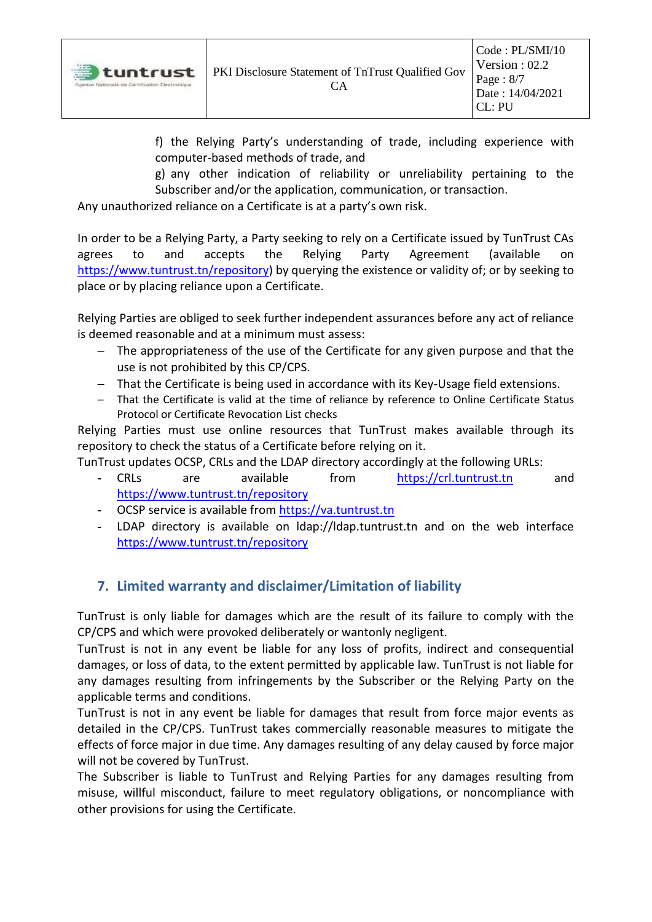f) the Relying Party's understanding of trade, including experience with computer‐based methods of trade, and

g) any other indication of reliability or unreliability pertaining to the Subscriber and/or the application, communication, or transaction.

Any unauthorized reliance on a Certificate is at a party's own risk.

In order to be a Relying Party, a Party seeking to rely on a Certificate issued by TunTrust CAs agrees to and accepts the Relying Party Agreement (available on [https://www.tuntrust.tn/repository\)](https://www.tuntrust.tn/repository) by querying the existence or validity of; or by seeking to place or by placing reliance upon a Certificate.

Relying Parties are obliged to seek further independent assurances before any act of reliance is deemed reasonable and at a minimum must assess:

- − The appropriateness of the use of the Certificate for any given purpose and that the use is not prohibited by this CP/CPS.
- − That the Certificate is being used in accordance with its Key-Usage field extensions.
- − That the Certificate is valid at the time of reliance by reference to Online Certificate Status Protocol or Certificate Revocation List checks

Relying Parties must use online resources that TunTrust makes available through its repository to check the status of a Certificate before relying on it.

TunTrust updates OCSP, CRLs and the LDAP directory accordingly at the following URLs:

- **-** CRLs are available from [https://crl.tuntrust.tn](https://crl.tuntrust.tn/) and <https://www.tuntrust.tn/repository>
- **-** OCSP service is available from [https://va.tuntrust.tn](https://va.tuntrust.tn/)
- **-** LDAP directory is available on ldap://ldap.tuntrust.tn and on the web interface <https://www.tuntrust.tn/repository>

## <span id="page-7-0"></span>**7. Limited warranty and disclaimer/Limitation of liability**

TunTrust is only liable for damages which are the result of its failure to comply with the CP/CPS and which were provoked deliberately or wantonly negligent.

TunTrust is not in any event be liable for any loss of profits, indirect and consequential damages, or loss of data, to the extent permitted by applicable law. TunTrust is not liable for any damages resulting from infringements by the Subscriber or the Relying Party on the applicable terms and conditions.

TunTrust is not in any event be liable for damages that result from force major events as detailed in the CP/CPS. TunTrust takes commercially reasonable measures to mitigate the effects of force major in due time. Any damages resulting of any delay caused by force major will not be covered by TunTrust.

The Subscriber is liable to TunTrust and Relying Parties for any damages resulting from misuse, willful misconduct, failure to meet regulatory obligations, or noncompliance with other provisions for using the Certificate.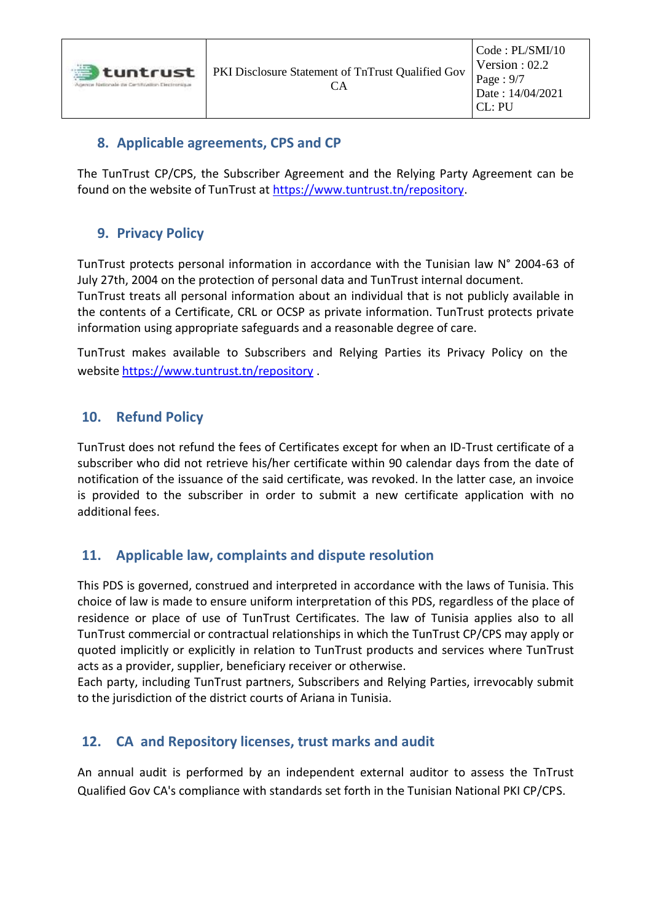#### <span id="page-8-0"></span>**8. Applicable agreements, CPS and CP**

<span id="page-8-1"></span>The TunTrust CP/CPS, the Subscriber Agreement and the Relying Party Agreement can be found on the website of TunTrust at [https://www.tuntrust.tn/repository.](https://www.tuntrust.tn/repository)

### **9. Privacy Policy**

TunTrust protects personal information in accordance with the Tunisian law N° 2004-63 of July 27th, 2004 on the protection of personal data and TunTrust internal document.

TunTrust treats all personal information about an individual that is not publicly available in the contents of a Certificate, CRL or OCSP as private information. TunTrust protects private information using appropriate safeguards and a reasonable degree of care.

TunTrust makes available to Subscribers and Relying Parties its Privacy Policy on the website <https://www.tuntrust.tn/repository> .

#### <span id="page-8-2"></span>**10. Refund Policy**

TunTrust does not refund the fees of Certificates except for when an ID-Trust certificate of a subscriber who did not retrieve his/her certificate within 90 calendar days from the date of notification of the issuance of the said certificate, was revoked. In the latter case, an invoice is provided to the subscriber in order to submit a new certificate application with no additional fees.

#### <span id="page-8-3"></span>**11. Applicable law, complaints and dispute resolution**

This PDS is governed, construed and interpreted in accordance with the laws of Tunisia. This choice of law is made to ensure uniform interpretation of this PDS, regardless of the place of residence or place of use of TunTrust Certificates. The law of Tunisia applies also to all TunTrust commercial or contractual relationships in which the TunTrust CP/CPS may apply or quoted implicitly or explicitly in relation to TunTrust products and services where TunTrust acts as a provider, supplier, beneficiary receiver or otherwise.

Each party, including TunTrust partners, Subscribers and Relying Parties, irrevocably submit to the jurisdiction of the district courts of Ariana in Tunisia.

#### <span id="page-8-4"></span>**12. CA and Repository licenses, trust marks and audit**

An annual audit is performed by an independent external auditor to assess the TnTrust Qualified Gov CA's compliance with standards set forth in the Tunisian National PKI CP/CPS.